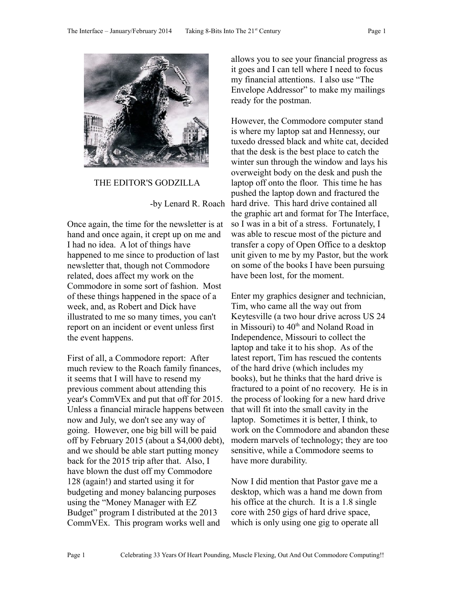

THE EDITOR'S GODZILLA

-by Lenard R. Roach

Once again, the time for the newsletter is at hand and once again, it crept up on me and I had no idea. A lot of things have happened to me since to production of last newsletter that, though not Commodore related, does affect my work on the Commodore in some sort of fashion. Most of these things happened in the space of a week, and, as Robert and Dick have illustrated to me so many times, you can't report on an incident or event unless first the event happens.

First of all, a Commodore report: After much review to the Roach family finances, it seems that I will have to resend my previous comment about attending this year's CommVEx and put that off for 2015. Unless a financial miracle happens between now and July, we don't see any way of going. However, one big bill will be paid off by February 2015 (about a \$4,000 debt), and we should be able start putting money back for the 2015 trip after that. Also, I have blown the dust off my Commodore 128 (again!) and started using it for budgeting and money balancing purposes using the "Money Manager with EZ Budget" program I distributed at the 2013 CommVEx. This program works well and

allows you to see your financial progress as it goes and I can tell where I need to focus my financial attentions. I also use "The Envelope Addressor" to make my mailings ready for the postman.

However, the Commodore computer stand is where my laptop sat and Hennessy, our tuxedo dressed black and white cat, decided that the desk is the best place to catch the winter sun through the window and lays his overweight body on the desk and push the laptop off onto the floor. This time he has pushed the laptop down and fractured the hard drive. This hard drive contained all the graphic art and format for The Interface, so I was in a bit of a stress. Fortunately, I was able to rescue most of the picture and transfer a copy of Open Office to a desktop unit given to me by my Pastor, but the work on some of the books I have been pursuing have been lost, for the moment.

Enter my graphics designer and technician, Tim, who came all the way out from Keytesville (a two hour drive across US 24 in Missouri) to  $40<sup>th</sup>$  and Noland Road in Independence, Missouri to collect the laptop and take it to his shop. As of the latest report, Tim has rescued the contents of the hard drive (which includes my books), but he thinks that the hard drive is fractured to a point of no recovery. He is in the process of looking for a new hard drive that will fit into the small cavity in the laptop. Sometimes it is better, I think, to work on the Commodore and abandon these modern marvels of technology; they are too sensitive, while a Commodore seems to have more durability.

Now I did mention that Pastor gave me a desktop, which was a hand me down from his office at the church. It is a 1.8 single core with 250 gigs of hard drive space, which is only using one gig to operate all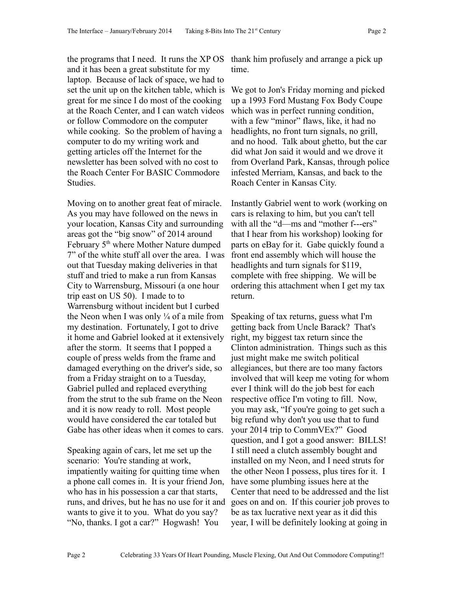the programs that I need. It runs the XP OS and it has been a great substitute for my laptop. Because of lack of space, we had to set the unit up on the kitchen table, which is great for me since I do most of the cooking at the Roach Center, and I can watch videos or follow Commodore on the computer while cooking. So the problem of having a computer to do my writing work and getting articles off the Internet for the newsletter has been solved with no cost to the Roach Center For BASIC Commodore Studies.

Moving on to another great feat of miracle. As you may have followed on the news in your location, Kansas City and surrounding areas got the "big snow" of 2014 around February 5<sup>th</sup> where Mother Nature dumped 7" of the white stuff all over the area. I was out that Tuesday making deliveries in that stuff and tried to make a run from Kansas City to Warrensburg, Missouri (a one hour trip east on US 50). I made to to Warrensburg without incident but I curbed the Neon when I was only  $\frac{1}{4}$  of a mile from my destination. Fortunately, I got to drive it home and Gabriel looked at it extensively after the storm. It seems that I popped a couple of press welds from the frame and damaged everything on the driver's side, so from a Friday straight on to a Tuesday, Gabriel pulled and replaced everything from the strut to the sub frame on the Neon and it is now ready to roll. Most people would have considered the car totaled but Gabe has other ideas when it comes to cars.

Speaking again of cars, let me set up the scenario: You're standing at work, impatiently waiting for quitting time when a phone call comes in. It is your friend Jon, who has in his possession a car that starts, runs, and drives, but he has no use for it and wants to give it to you. What do you say? "No, thanks. I got a car?" Hogwash! You

thank him profusely and arrange a pick up time.

We got to Jon's Friday morning and picked up a 1993 Ford Mustang Fox Body Coupe which was in perfect running condition, with a few "minor" flaws, like, it had no headlights, no front turn signals, no grill, and no hood. Talk about ghetto, but the car did what Jon said it would and we drove it from Overland Park, Kansas, through police infested Merriam, Kansas, and back to the Roach Center in Kansas City.

Instantly Gabriel went to work (working on cars is relaxing to him, but you can't tell with all the "d—ms and "mother f---ers" that I hear from his workshop) looking for parts on eBay for it. Gabe quickly found a front end assembly which will house the headlights and turn signals for \$119, complete with free shipping. We will be ordering this attachment when I get my tax return.

Speaking of tax returns, guess what I'm getting back from Uncle Barack? That's right, my biggest tax return since the Clinton administration. Things such as this just might make me switch political allegiances, but there are too many factors involved that will keep me voting for whom ever I think will do the job best for each respective office I'm voting to fill. Now, you may ask, "If you're going to get such a big refund why don't you use that to fund your 2014 trip to CommVEx?" Good question, and I got a good answer: BILLS! I still need a clutch assembly bought and installed on my Neon, and I need struts for the other Neon I possess, plus tires for it. I have some plumbing issues here at the Center that need to be addressed and the list goes on and on. If this courier job proves to be as tax lucrative next year as it did this year, I will be definitely looking at going in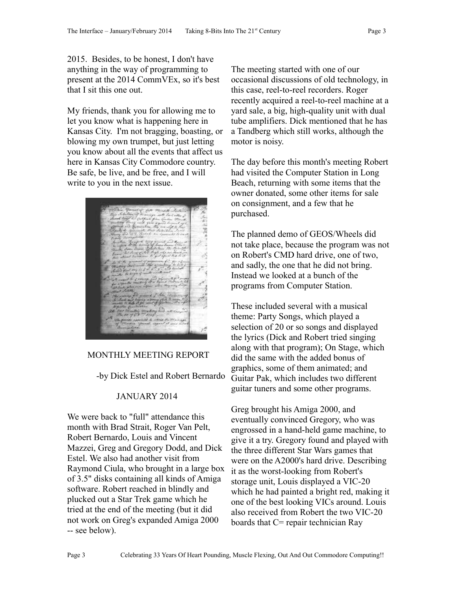2015. Besides, to be honest, I don't have anything in the way of programming to present at the 2014 CommVEx, so it's best that I sit this one out.

My friends, thank you for allowing me to let you know what is happening here in Kansas City. I'm not bragging, boasting, or blowing my own trumpet, but just letting you know about all the events that affect us here in Kansas City Commodore country. Be safe, be live, and be free, and I will write to you in the next issue.



#### MONTHLY MEETING REPORT

-by Dick Estel and Robert Bernardo

#### JANUARY 2014

We were back to "full" attendance this month with Brad Strait, Roger Van Pelt, Robert Bernardo, Louis and Vincent Mazzei, Greg and Gregory Dodd, and Dick Estel. We also had another visit from Raymond Ciula, who brought in a large box of 3.5" disks containing all kinds of Amiga software. Robert reached in blindly and plucked out a Star Trek game which he tried at the end of the meeting (but it did not work on Greg's expanded Amiga 2000 -- see below).

The meeting started with one of our occasional discussions of old technology, in this case, reel-to-reel recorders. Roger recently acquired a reel-to-reel machine at a yard sale, a big, high-quality unit with dual tube amplifiers. Dick mentioned that he has a Tandberg which still works, although the motor is noisy.

The day before this month's meeting Robert had visited the Computer Station in Long Beach, returning with some items that the owner donated, some other items for sale on consignment, and a few that he purchased.

The planned demo of GEOS/Wheels did not take place, because the program was not on Robert's CMD hard drive, one of two, and sadly, the one that he did not bring. Instead we looked at a bunch of the programs from Computer Station.

These included several with a musical theme: Party Songs, which played a selection of 20 or so songs and displayed the lyrics (Dick and Robert tried singing along with that program); On Stage, which did the same with the added bonus of graphics, some of them animated; and Guitar Pak, which includes two different guitar tuners and some other programs.

Greg brought his Amiga 2000, and eventually convinced Gregory, who was engrossed in a hand-held game machine, to give it a try. Gregory found and played with the three different Star Wars games that were on the A2000's hard drive. Describing it as the worst-looking from Robert's storage unit, Louis displayed a VIC-20 which he had painted a bright red, making it one of the best looking VICs around. Louis also received from Robert the two VIC-20 boards that C= repair technician Ray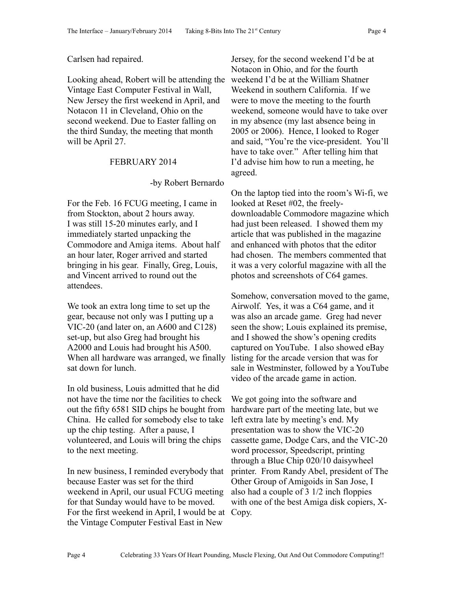#### Carlsen had repaired.

Looking ahead, Robert will be attending the Vintage East Computer Festival in Wall, New Jersey the first weekend in April, and Notacon 11 in Cleveland, Ohio on the second weekend. Due to Easter falling on the third Sunday, the meeting that month will be April 27.

#### FEBRUARY 2014

#### -by Robert Bernardo

For the Feb. 16 FCUG meeting, I came in from Stockton, about 2 hours away. I was still 15-20 minutes early, and I immediately started unpacking the Commodore and Amiga items. About half an hour later, Roger arrived and started bringing in his gear. Finally, Greg, Louis, and Vincent arrived to round out the attendees.

We took an extra long time to set up the gear, because not only was I putting up a VIC-20 (and later on, an A600 and C128) set-up, but also Greg had brought his A2000 and Louis had brought his A500. When all hardware was arranged, we finally sat down for lunch.

In old business, Louis admitted that he did not have the time nor the facilities to check out the fifty 6581 SID chips he bought from China. He called for somebody else to take up the chip testing. After a pause, I volunteered, and Louis will bring the chips to the next meeting.

In new business, I reminded everybody that because Easter was set for the third weekend in April, our usual FCUG meeting for that Sunday would have to be moved. For the first weekend in April, I would be at the Vintage Computer Festival East in New

Jersey, for the second weekend I'd be at Notacon in Ohio, and for the fourth weekend I'd be at the William Shatner Weekend in southern California. If we were to move the meeting to the fourth weekend, someone would have to take over in my absence (my last absence being in 2005 or 2006). Hence, I looked to Roger and said, "You're the vice-president. You'll have to take over." After telling him that I'd advise him how to run a meeting, he agreed.

On the laptop tied into the room's Wi-fi, we looked at Reset #02, the freelydownloadable Commodore magazine which had just been released. I showed them my article that was published in the magazine and enhanced with photos that the editor had chosen. The members commented that it was a very colorful magazine with all the photos and screenshots of C64 games.

Somehow, conversation moved to the game, Airwolf. Yes, it was a C64 game, and it was also an arcade game. Greg had never seen the show; Louis explained its premise, and I showed the show's opening credits captured on YouTube. I also showed eBay listing for the arcade version that was for sale in Westminster, followed by a YouTube video of the arcade game in action.

We got going into the software and hardware part of the meeting late, but we left extra late by meeting's end. My presentation was to show the VIC-20 cassette game, Dodge Cars, and the VIC-20 word processor, Speedscript, printing through a Blue Chip 020/10 daisywheel printer. From Randy Abel, president of The Other Group of Amigoids in San Jose, I also had a couple of 3 1/2 inch floppies with one of the best Amiga disk copiers, X-Copy.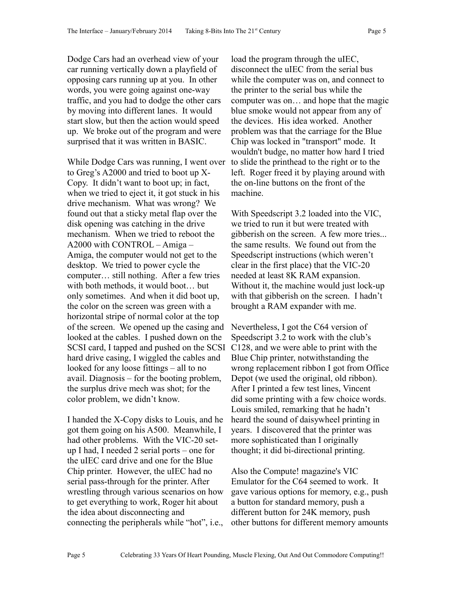Dodge Cars had an overhead view of your car running vertically down a playfield of opposing cars running up at you. In other words, you were going against one-way traffic, and you had to dodge the other cars by moving into different lanes. It would start slow, but then the action would speed up. We broke out of the program and were surprised that it was written in BASIC.

While Dodge Cars was running, I went over to Greg's A2000 and tried to boot up X-Copy. It didn't want to boot up; in fact, when we tried to eject it, it got stuck in his drive mechanism. What was wrong? We found out that a sticky metal flap over the disk opening was catching in the drive mechanism. When we tried to reboot the A2000 with CONTROL – Amiga – Amiga, the computer would not get to the desktop. We tried to power cycle the computer… still nothing. After a few tries with both methods, it would boot… but only sometimes. And when it did boot up, the color on the screen was green with a horizontal stripe of normal color at the top of the screen. We opened up the casing and looked at the cables. I pushed down on the SCSI card, I tapped and pushed on the SCSI hard drive casing, I wiggled the cables and looked for any loose fittings – all to no avail. Diagnosis – for the booting problem, the surplus drive mech was shot; for the color problem, we didn't know.

I handed the X-Copy disks to Louis, and he got them going on his A500. Meanwhile, I had other problems. With the VIC-20 setup I had, I needed 2 serial ports – one for the uIEC card drive and one for the Blue Chip printer. However, the uIEC had no serial pass-through for the printer. After wrestling through various scenarios on how to get everything to work, Roger hit about the idea about disconnecting and connecting the peripherals while "hot", i.e.,

load the program through the uIEC, disconnect the uIEC from the serial bus while the computer was on, and connect to the printer to the serial bus while the computer was on… and hope that the magic blue smoke would not appear from any of the devices. His idea worked. Another problem was that the carriage for the Blue Chip was locked in "transport" mode. It wouldn't budge, no matter how hard I tried to slide the printhead to the right or to the left. Roger freed it by playing around with the on-line buttons on the front of the machine.

With Speedscript 3.2 loaded into the VIC, we tried to run it but were treated with gibberish on the screen. A few more tries... the same results. We found out from the Speedscript instructions (which weren't clear in the first place) that the VIC-20 needed at least 8K RAM expansion. Without it, the machine would just lock-up with that gibberish on the screen. I hadn't brought a RAM expander with me.

Nevertheless, I got the C64 version of Speedscript 3.2 to work with the club's C128, and we were able to print with the Blue Chip printer, notwithstanding the wrong replacement ribbon I got from Office Depot (we used the original, old ribbon). After I printed a few test lines, Vincent did some printing with a few choice words. Louis smiled, remarking that he hadn't heard the sound of daisywheel printing in years. I discovered that the printer was more sophisticated than I originally thought; it did bi-directional printing.

Also the Compute! magazine's VIC Emulator for the C64 seemed to work. It gave various options for memory, e.g., push a button for standard memory, push a different button for 24K memory, push other buttons for different memory amounts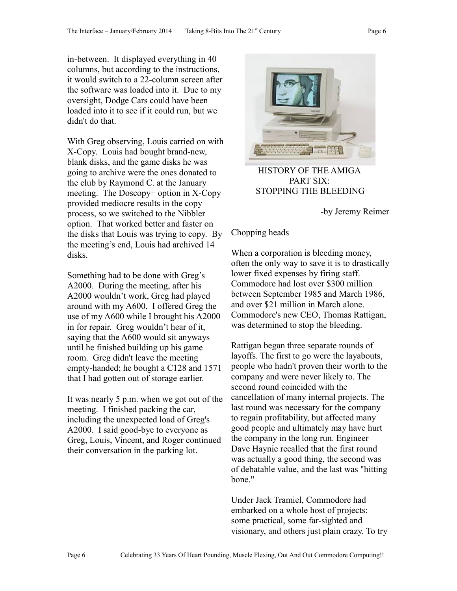in-between. It displayed everything in 40 columns, but according to the instructions, it would switch to a 22-column screen after the software was loaded into it. Due to my oversight, Dodge Cars could have been loaded into it to see if it could run, but we didn't do that.

With Greg observing, Louis carried on with X-Copy. Louis had bought brand-new, blank disks, and the game disks he was going to archive were the ones donated to the club by Raymond C. at the January meeting. The Doscopy+ option in X-Copy provided mediocre results in the copy process, so we switched to the Nibbler option. That worked better and faster on the disks that Louis was trying to copy. By the meeting's end, Louis had archived 14 disks.

Something had to be done with Greg's A2000. During the meeting, after his A2000 wouldn't work, Greg had played around with my A600. I offered Greg the use of my A600 while I brought his A2000 in for repair. Greg wouldn't hear of it, saying that the A600 would sit anyways until he finished building up his game room. Greg didn't leave the meeting empty-handed; he bought a C128 and 1571 that I had gotten out of storage earlier.

It was nearly 5 p.m. when we got out of the meeting. I finished packing the car, including the unexpected load of Greg's A2000. I said good-bye to everyone as Greg, Louis, Vincent, and Roger continued their conversation in the parking lot.



 HISTORY OF THE AMIGA PART SIX: STOPPING THE BLEEDING

-by Jeremy Reimer

#### Chopping heads

When a corporation is bleeding money, often the only way to save it is to drastically lower fixed expenses by firing staff. Commodore had lost over \$300 million between September 1985 and March 1986, and over \$21 million in March alone. Commodore's new CEO, Thomas Rattigan, was determined to stop the bleeding.

Rattigan began three separate rounds of layoffs. The first to go were the layabouts, people who hadn't proven their worth to the company and were never likely to. The second round coincided with the cancellation of many internal projects. The last round was necessary for the company to regain profitability, but affected many good people and ultimately may have hurt the company in the long run. Engineer Dave Haynie recalled that the first round was actually a good thing, the second was of debatable value, and the last was "hitting bone."

Under Jack Tramiel, Commodore had embarked on a whole host of projects: some practical, some far-sighted and visionary, and others just plain crazy. To try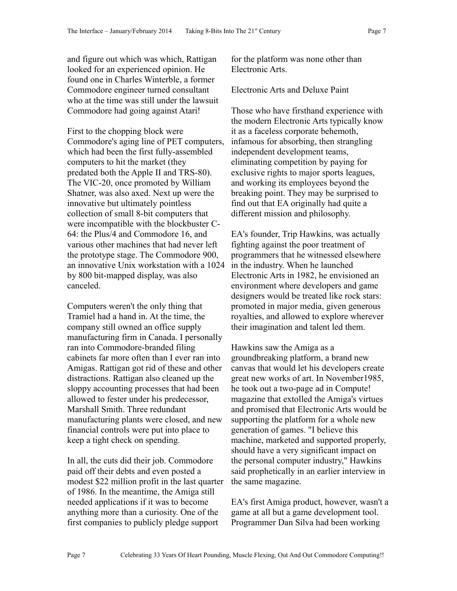and figure out which was which, Rattigan looked for an experienced opinion. He found one in Charles Winterble, a former Commodore engineer turned consultant who at the time was still under the lawsuit Commodore had going against Atari!

First to the chopping block were Commodore's aging line of PET computers, which had been the first fully-assembled computers to hit the market (they predated both the Apple II and TRS-80). The VIC-20, once promoted by William Shatner, was also axed. Next up were the innovative but ultimately pointless collection of small 8-bit computers that were incompatible with the blockbuster C-64: the Plus/4 and Commodore 16, and various other machines that had never left the prototype stage. The Commodore 900, an innovative Unix workstation with a 1024 by 800 bit-mapped display, was also canceled.

Computers weren't the only thing that Tramiel had a hand in. At the time, the company still owned an office supply manufacturing firm in Canada. I personally ran into Commodore-branded filing cabinets far more often than I ever ran into Amigas. Rattigan got rid of these and other distractions. Rattigan also cleaned up the sloppy accounting processes that had been allowed to fester under his predecessor, Marshall Smith. Three redundant manufacturing plants were closed, and new financial controls were put into place to keep a tight check on spending.

In all, the cuts did their job. Commodore paid off their debts and even posted a modest \$22 million profit in the last quarter of 1986. In the meantime, the Amiga still needed applications if it was to become anything more than a curiosity. One of the first companies to publicly pledge support

for the platform was none other than Electronic Arts.

Electronic Arts and Deluxe Paint

Those who have firsthand experience with the modern Electronic Arts typically know it as a faceless corporate behemoth, infamous for absorbing, then strangling independent development teams, eliminating competition by paying for exclusive rights to major sports leagues, and working its employees beyond the breaking point. They may be surprised to find out that EA originally had quite a different mission and philosophy.

EA's founder, Trip Hawkins, was actually fighting against the poor treatment of programmers that he witnessed elsewhere in the industry. When he launched Electronic Arts in 1982, he envisioned an environment where developers and game designers would be treated like rock stars: promoted in major media, given generous royalties, and allowed to explore wherever their imagination and talent led them.

Hawkins saw the Amiga as a groundbreaking platform, a brand new canvas that would let his developers create great new works of art. In November1985, he took out a two-page ad in Compute! magazine that extolled the Amiga's virtues and promised that Electronic Arts would be supporting the platform for a whole new generation of games. "I believe this machine, marketed and supported properly, should have a very significant impact on the personal computer industry," Hawkins said prophetically in an earlier interview in the same magazine.

EA's first Amiga product, however, wasn't a game at all but a game development tool. Programmer Dan Silva had been working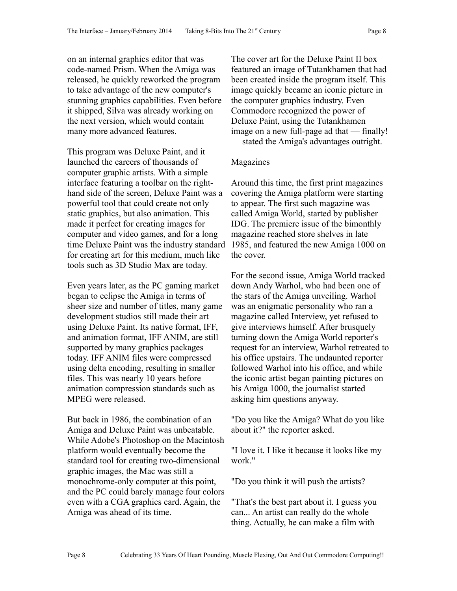on an internal graphics editor that was code-named Prism. When the Amiga was released, he quickly reworked the program to take advantage of the new computer's stunning graphics capabilities. Even before it shipped, Silva was already working on the next version, which would contain many more advanced features.

This program was Deluxe Paint, and it launched the careers of thousands of computer graphic artists. With a simple interface featuring a toolbar on the righthand side of the screen, Deluxe Paint was a powerful tool that could create not only static graphics, but also animation. This made it perfect for creating images for computer and video games, and for a long time Deluxe Paint was the industry standard for creating art for this medium, much like tools such as 3D Studio Max are today.

Even years later, as the PC gaming market began to eclipse the Amiga in terms of sheer size and number of titles, many game development studios still made their art using Deluxe Paint. Its native format, IFF, and animation format, IFF ANIM, are still supported by many graphics packages today. IFF ANIM files were compressed using delta encoding, resulting in smaller files. This was nearly 10 years before animation compression standards such as MPEG were released.

But back in 1986, the combination of an Amiga and Deluxe Paint was unbeatable. While Adobe's Photoshop on the Macintosh platform would eventually become the standard tool for creating two-dimensional graphic images, the Mac was still a monochrome-only computer at this point, and the PC could barely manage four colors even with a CGA graphics card. Again, the Amiga was ahead of its time.

The cover art for the Deluxe Paint II box featured an image of Tutankhamen that had been created inside the program itself. This image quickly became an iconic picture in the computer graphics industry. Even Commodore recognized the power of Deluxe Paint, using the Tutankhamen image on a new full-page ad that — finally! — stated the Amiga's advantages outright.

# Magazines

Around this time, the first print magazines covering the Amiga platform were starting to appear. The first such magazine was called Amiga World, started by publisher IDG. The premiere issue of the bimonthly magazine reached store shelves in late 1985, and featured the new Amiga 1000 on the cover.

For the second issue, Amiga World tracked down Andy Warhol, who had been one of the stars of the Amiga unveiling. Warhol was an enigmatic personality who ran a magazine called Interview, yet refused to give interviews himself. After brusquely turning down the Amiga World reporter's request for an interview, Warhol retreated to his office upstairs. The undaunted reporter followed Warhol into his office, and while the iconic artist began painting pictures on his Amiga 1000, the journalist started asking him questions anyway.

"Do you like the Amiga? What do you like about it?" the reporter asked.

"I love it. I like it because it looks like my work."

"Do you think it will push the artists?

"That's the best part about it. I guess you can... An artist can really do the whole thing. Actually, he can make a film with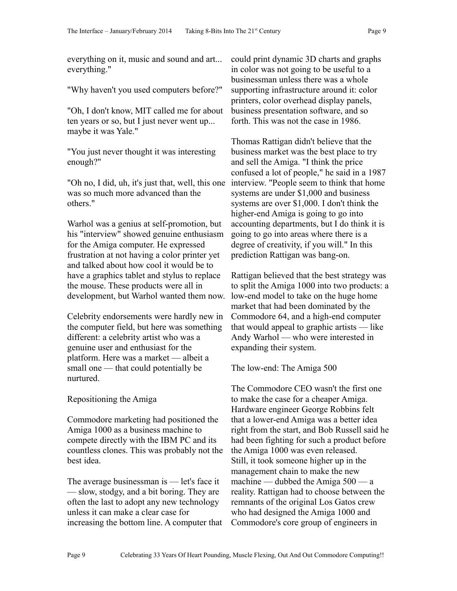everything on it, music and sound and art... everything."

"Why haven't you used computers before?"

"Oh, I don't know, MIT called me for about ten years or so, but I just never went up... maybe it was Yale."

"You just never thought it was interesting enough?"

"Oh no, I did, uh, it's just that, well, this one was so much more advanced than the others."

Warhol was a genius at self-promotion, but his "interview" showed genuine enthusiasm for the Amiga computer. He expressed frustration at not having a color printer yet and talked about how cool it would be to have a graphics tablet and stylus to replace the mouse. These products were all in development, but Warhol wanted them now.

Celebrity endorsements were hardly new in the computer field, but here was something different: a celebrity artist who was a genuine user and enthusiast for the platform. Here was a market — albeit a small one — that could potentially be nurtured.

Repositioning the Amiga

Commodore marketing had positioned the Amiga 1000 as a business machine to compete directly with the IBM PC and its countless clones. This was probably not the best idea.

The average businessman is — let's face it — slow, stodgy, and a bit boring. They are often the last to adopt any new technology unless it can make a clear case for increasing the bottom line. A computer that

could print dynamic 3D charts and graphs in color was not going to be useful to a businessman unless there was a whole supporting infrastructure around it: color printers, color overhead display panels, business presentation software, and so forth. This was not the case in 1986.

Thomas Rattigan didn't believe that the business market was the best place to try and sell the Amiga. "I think the price confused a lot of people," he said in a 1987 interview. "People seem to think that home systems are under \$1,000 and business systems are over \$1,000. I don't think the higher-end Amiga is going to go into accounting departments, but I do think it is going to go into areas where there is a degree of creativity, if you will." In this prediction Rattigan was bang-on.

Rattigan believed that the best strategy was to split the Amiga 1000 into two products: a low-end model to take on the huge home market that had been dominated by the Commodore 64, and a high-end computer that would appeal to graphic artists — like Andy Warhol — who were interested in expanding their system.

The low-end: The Amiga 500

The Commodore CEO wasn't the first one to make the case for a cheaper Amiga. Hardware engineer George Robbins felt that a lower-end Amiga was a better idea right from the start, and Bob Russell said he had been fighting for such a product before the Amiga 1000 was even released. Still, it took someone higher up in the management chain to make the new machine — dubbed the Amiga  $500 - a$ reality. Rattigan had to choose between the remnants of the original Los Gatos crew who had designed the Amiga 1000 and Commodore's core group of engineers in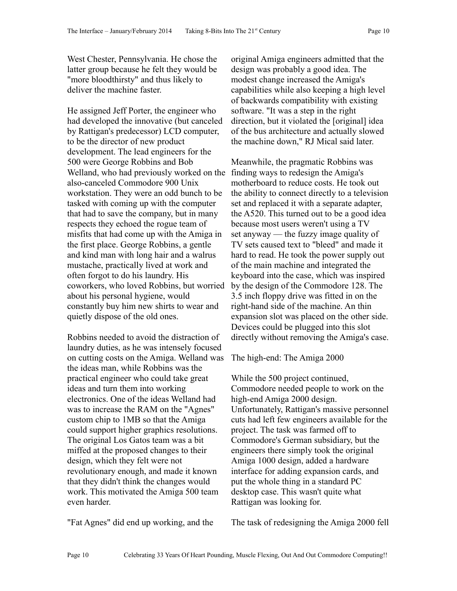West Chester, Pennsylvania. He chose the latter group because he felt they would be "more bloodthirsty" and thus likely to deliver the machine faster.

He assigned Jeff Porter, the engineer who had developed the innovative (but canceled by Rattigan's predecessor) LCD computer, to be the director of new product development. The lead engineers for the 500 were George Robbins and Bob Welland, who had previously worked on the also-canceled Commodore 900 Unix workstation. They were an odd bunch to be tasked with coming up with the computer that had to save the company, but in many respects they echoed the rogue team of misfits that had come up with the Amiga in the first place. George Robbins, a gentle and kind man with long hair and a walrus mustache, practically lived at work and often forgot to do his laundry. His coworkers, who loved Robbins, but worried about his personal hygiene, would constantly buy him new shirts to wear and quietly dispose of the old ones.

Robbins needed to avoid the distraction of laundry duties, as he was intensely focused on cutting costs on the Amiga. Welland was the ideas man, while Robbins was the practical engineer who could take great ideas and turn them into working electronics. One of the ideas Welland had was to increase the RAM on the "Agnes" custom chip to 1MB so that the Amiga could support higher graphics resolutions. The original Los Gatos team was a bit miffed at the proposed changes to their design, which they felt were not revolutionary enough, and made it known that they didn't think the changes would work. This motivated the Amiga 500 team even harder.

"Fat Agnes" did end up working, and the

original Amiga engineers admitted that the design was probably a good idea. The modest change increased the Amiga's capabilities while also keeping a high level of backwards compatibility with existing software. "It was a step in the right direction, but it violated the [original] idea of the bus architecture and actually slowed the machine down," RJ Mical said later.

Meanwhile, the pragmatic Robbins was finding ways to redesign the Amiga's motherboard to reduce costs. He took out the ability to connect directly to a television set and replaced it with a separate adapter, the A520. This turned out to be a good idea because most users weren't using a TV set anyway — the fuzzy image quality of TV sets caused text to "bleed" and made it hard to read. He took the power supply out of the main machine and integrated the keyboard into the case, which was inspired by the design of the Commodore 128. The 3.5 inch floppy drive was fitted in on the right-hand side of the machine. An thin expansion slot was placed on the other side. Devices could be plugged into this slot directly without removing the Amiga's case.

The high-end: The Amiga 2000

While the 500 project continued, Commodore needed people to work on the high-end Amiga 2000 design. Unfortunately, Rattigan's massive personnel cuts had left few engineers available for the project. The task was farmed off to Commodore's German subsidiary, but the engineers there simply took the original Amiga 1000 design, added a hardware interface for adding expansion cards, and put the whole thing in a standard PC desktop case. This wasn't quite what Rattigan was looking for.

The task of redesigning the Amiga 2000 fell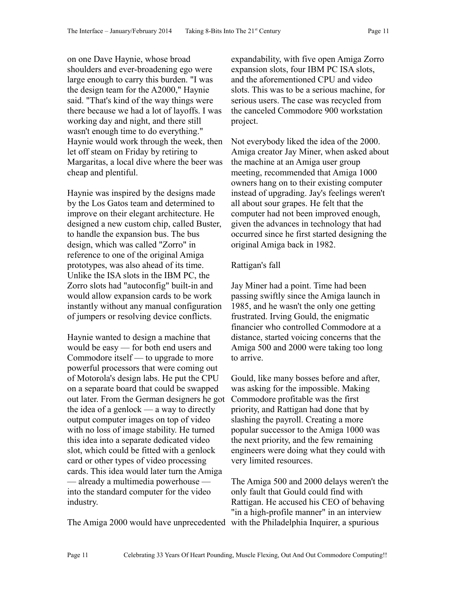on one Dave Haynie, whose broad shoulders and ever-broadening ego were large enough to carry this burden. "I was the design team for the A2000," Haynie said. "That's kind of the way things were there because we had a lot of layoffs. I was working day and night, and there still wasn't enough time to do everything." Haynie would work through the week, then let off steam on Friday by retiring to Margaritas, a local dive where the beer was cheap and plentiful.

Haynie was inspired by the designs made by the Los Gatos team and determined to improve on their elegant architecture. He designed a new custom chip, called Buster, to handle the expansion bus. The bus design, which was called "Zorro" in reference to one of the original Amiga prototypes, was also ahead of its time. Unlike the ISA slots in the IBM PC, the Zorro slots had "autoconfig" built-in and would allow expansion cards to be work instantly without any manual configuration of jumpers or resolving device conflicts.

Haynie wanted to design a machine that would be easy — for both end users and Commodore itself — to upgrade to more powerful processors that were coming out of Motorola's design labs. He put the CPU on a separate board that could be swapped out later. From the German designers he got the idea of a genlock — a way to directly output computer images on top of video with no loss of image stability. He turned this idea into a separate dedicated video slot, which could be fitted with a genlock card or other types of video processing cards. This idea would later turn the Amiga — already a multimedia powerhouse into the standard computer for the video industry.

The Amiga 2000 would have unprecedented with the Philadelphia Inquirer, a spurious

expandability, with five open Amiga Zorro expansion slots, four IBM PC ISA slots, and the aforementioned CPU and video slots. This was to be a serious machine, for serious users. The case was recycled from the canceled Commodore 900 workstation project.

Not everybody liked the idea of the 2000. Amiga creator Jay Miner, when asked about the machine at an Amiga user group meeting, recommended that Amiga 1000 owners hang on to their existing computer instead of upgrading. Jay's feelings weren't all about sour grapes. He felt that the computer had not been improved enough, given the advances in technology that had occurred since he first started designing the original Amiga back in 1982.

# Rattigan's fall

Jay Miner had a point. Time had been passing swiftly since the Amiga launch in 1985, and he wasn't the only one getting frustrated. Irving Gould, the enigmatic financier who controlled Commodore at a distance, started voicing concerns that the Amiga 500 and 2000 were taking too long to arrive.

Gould, like many bosses before and after, was asking for the impossible. Making Commodore profitable was the first priority, and Rattigan had done that by slashing the payroll. Creating a more popular successor to the Amiga 1000 was the next priority, and the few remaining engineers were doing what they could with very limited resources.

The Amiga 500 and 2000 delays weren't the only fault that Gould could find with Rattigan. He accused his CEO of behaving "in a high-profile manner" in an interview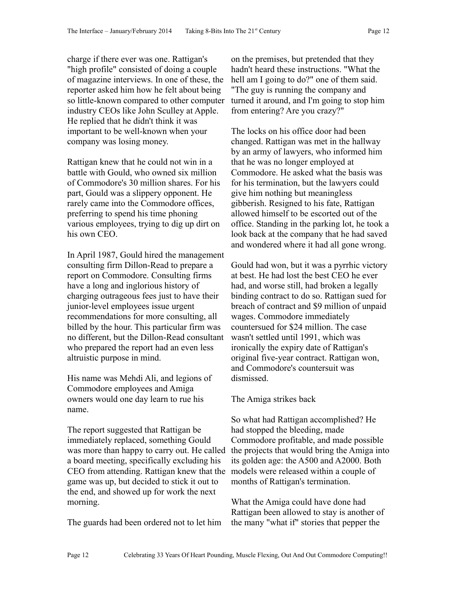charge if there ever was one. Rattigan's "high profile" consisted of doing a couple of magazine interviews. In one of these, the reporter asked him how he felt about being so little-known compared to other computer industry CEOs like John Sculley at Apple. He replied that he didn't think it was important to be well-known when your company was losing money.

Rattigan knew that he could not win in a battle with Gould, who owned six million of Commodore's 30 million shares. For his part, Gould was a slippery opponent. He rarely came into the Commodore offices, preferring to spend his time phoning various employees, trying to dig up dirt on his own CEO.

In April 1987, Gould hired the management consulting firm Dillon-Read to prepare a report on Commodore. Consulting firms have a long and inglorious history of charging outrageous fees just to have their junior-level employees issue urgent recommendations for more consulting, all billed by the hour. This particular firm was no different, but the Dillon-Read consultant who prepared the report had an even less altruistic purpose in mind.

His name was Mehdi Ali, and legions of Commodore employees and Amiga owners would one day learn to rue his name.

The report suggested that Rattigan be immediately replaced, something Gould was more than happy to carry out. He called a board meeting, specifically excluding his CEO from attending. Rattigan knew that the game was up, but decided to stick it out to the end, and showed up for work the next morning.

The guards had been ordered not to let him

on the premises, but pretended that they hadn't heard these instructions. "What the hell am I going to do?" one of them said. "The guy is running the company and turned it around, and I'm going to stop him from entering? Are you crazy?"

The locks on his office door had been changed. Rattigan was met in the hallway by an army of lawyers, who informed him that he was no longer employed at Commodore. He asked what the basis was for his termination, but the lawyers could give him nothing but meaningless gibberish. Resigned to his fate, Rattigan allowed himself to be escorted out of the office. Standing in the parking lot, he took a look back at the company that he had saved and wondered where it had all gone wrong.

Gould had won, but it was a pyrrhic victory at best. He had lost the best CEO he ever had, and worse still, had broken a legally binding contract to do so. Rattigan sued for breach of contract and \$9 million of unpaid wages. Commodore immediately countersued for \$24 million. The case wasn't settled until 1991, which was ironically the expiry date of Rattigan's original five-year contract. Rattigan won, and Commodore's countersuit was dismissed.

# The Amiga strikes back

So what had Rattigan accomplished? He had stopped the bleeding, made Commodore profitable, and made possible the projects that would bring the Amiga into its golden age: the A500 and A2000. Both models were released within a couple of months of Rattigan's termination.

What the Amiga could have done had Rattigan been allowed to stay is another of the many "what if" stories that pepper the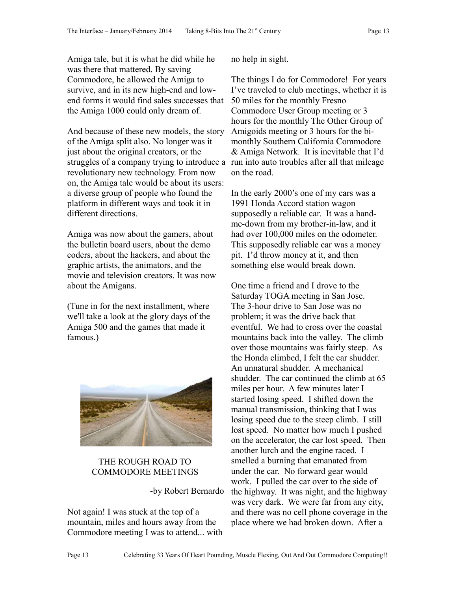Amiga tale, but it is what he did while he was there that mattered. By saving Commodore, he allowed the Amiga to survive, and in its new high-end and lowend forms it would find sales successes that the Amiga 1000 could only dream of.

And because of these new models, the story of the Amiga split also. No longer was it just about the original creators, or the struggles of a company trying to introduce a run into auto troubles after all that mileage revolutionary new technology. From now on, the Amiga tale would be about its users: a diverse group of people who found the platform in different ways and took it in different directions.

Amiga was now about the gamers, about the bulletin board users, about the demo coders, about the hackers, and about the graphic artists, the animators, and the movie and television creators. It was now about the Amigans.

(Tune in for the next installment, where we'll take a look at the glory days of the Amiga 500 and the games that made it famous.)



# THE ROUGH ROAD TO COMMODORE MEETINGS

-by Robert Bernardo

Not again! I was stuck at the top of a mountain, miles and hours away from the Commodore meeting I was to attend... with no help in sight.

The things I do for Commodore! For years I've traveled to club meetings, whether it is 50 miles for the monthly Fresno Commodore User Group meeting or 3 hours for the monthly The Other Group of Amigoids meeting or 3 hours for the bimonthly Southern California Commodore & Amiga Network. It is inevitable that I'd on the road.

In the early 2000's one of my cars was a 1991 Honda Accord station wagon – supposedly a reliable car. It was a handme-down from my brother-in-law, and it had over 100,000 miles on the odometer. This supposedly reliable car was a money pit. I'd throw money at it, and then something else would break down.

One time a friend and I drove to the Saturday TOGA meeting in San Jose. The 3-hour drive to San Jose was no problem; it was the drive back that eventful. We had to cross over the coastal mountains back into the valley. The climb over those mountains was fairly steep. As the Honda climbed, I felt the car shudder. An unnatural shudder. A mechanical shudder. The car continued the climb at 65 miles per hour. A few minutes later I started losing speed. I shifted down the manual transmission, thinking that I was losing speed due to the steep climb. I still lost speed. No matter how much I pushed on the accelerator, the car lost speed. Then another lurch and the engine raced. I smelled a burning that emanated from under the car. No forward gear would work. I pulled the car over to the side of the highway. It was night, and the highway was very dark. We were far from any city, and there was no cell phone coverage in the place where we had broken down. After a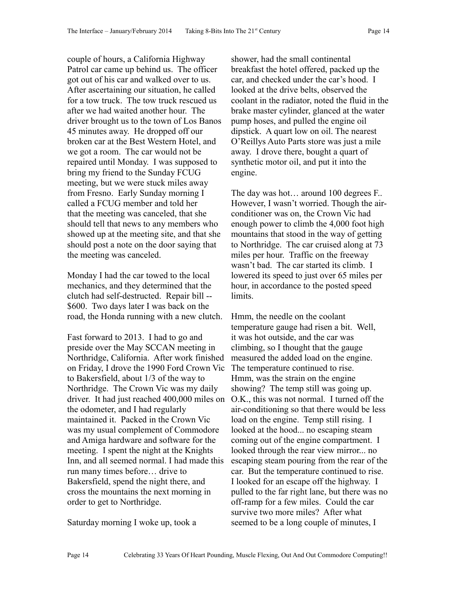couple of hours, a California Highway Patrol car came up behind us. The officer got out of his car and walked over to us. After ascertaining our situation, he called for a tow truck. The tow truck rescued us after we had waited another hour. The driver brought us to the town of Los Banos 45 minutes away. He dropped off our broken car at the Best Western Hotel, and we got a room. The car would not be repaired until Monday. I was supposed to bring my friend to the Sunday FCUG meeting, but we were stuck miles away from Fresno. Early Sunday morning I called a FCUG member and told her that the meeting was canceled, that she should tell that news to any members who showed up at the meeting site, and that she should post a note on the door saying that the meeting was canceled.

Monday I had the car towed to the local mechanics, and they determined that the clutch had self-destructed. Repair bill -- \$600. Two days later I was back on the road, the Honda running with a new clutch.

Fast forward to 2013. I had to go and preside over the May SCCAN meeting in Northridge, California. After work finished on Friday, I drove the 1990 Ford Crown Vic to Bakersfield, about 1/3 of the way to Northridge. The Crown Vic was my daily driver. It had just reached 400,000 miles on the odometer, and I had regularly maintained it. Packed in the Crown Vic was my usual complement of Commodore and Amiga hardware and software for the meeting. I spent the night at the Knights Inn, and all seemed normal. I had made this run many times before… drive to Bakersfield, spend the night there, and cross the mountains the next morning in order to get to Northridge.

Saturday morning I woke up, took a

shower, had the small continental breakfast the hotel offered, packed up the car, and checked under the car's hood. I looked at the drive belts, observed the coolant in the radiator, noted the fluid in the brake master cylinder, glanced at the water pump hoses, and pulled the engine oil dipstick. A quart low on oil. The nearest O'Reillys Auto Parts store was just a mile away. I drove there, bought a quart of synthetic motor oil, and put it into the engine.

The day was hot… around 100 degrees F.. However, I wasn't worried. Though the airconditioner was on, the Crown Vic had enough power to climb the 4,000 foot high mountains that stood in the way of getting to Northridge. The car cruised along at 73 miles per hour. Traffic on the freeway wasn't bad. The car started its climb. I lowered its speed to just over 65 miles per hour, in accordance to the posted speed limits.

Hmm, the needle on the coolant temperature gauge had risen a bit. Well, it was hot outside, and the car was climbing, so I thought that the gauge measured the added load on the engine. The temperature continued to rise. Hmm, was the strain on the engine showing? The temp still was going up. O.K., this was not normal. I turned off the air-conditioning so that there would be less load on the engine. Temp still rising. I looked at the hood... no escaping steam coming out of the engine compartment. I looked through the rear view mirror... no escaping steam pouring from the rear of the car. But the temperature continued to rise. I looked for an escape off the highway. I pulled to the far right lane, but there was no off-ramp for a few miles. Could the car survive two more miles? After what seemed to be a long couple of minutes, I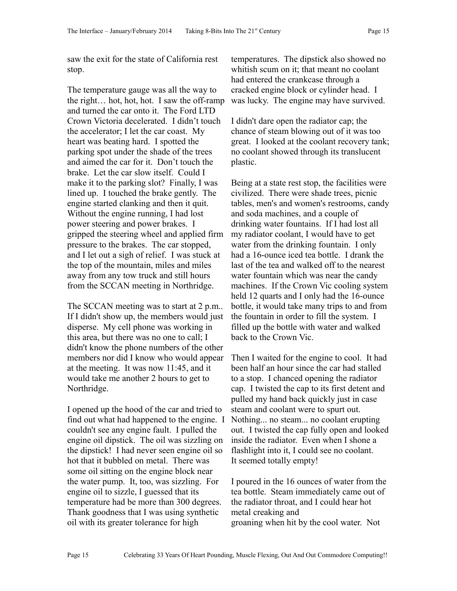saw the exit for the state of California rest stop.

The temperature gauge was all the way to the right… hot, hot, hot. I saw the off-ramp and turned the car onto it. The Ford LTD Crown Victoria decelerated. I didn't touch the accelerator; I let the car coast. My heart was beating hard. I spotted the parking spot under the shade of the trees and aimed the car for it. Don't touch the brake. Let the car slow itself. Could I make it to the parking slot? Finally, I was lined up. I touched the brake gently. The engine started clanking and then it quit. Without the engine running, I had lost power steering and power brakes. I gripped the steering wheel and applied firm pressure to the brakes. The car stopped, and I let out a sigh of relief. I was stuck at the top of the mountain, miles and miles away from any tow truck and still hours from the SCCAN meeting in Northridge.

The SCCAN meeting was to start at 2 p.m.. If I didn't show up, the members would just disperse. My cell phone was working in this area, but there was no one to call; I didn't know the phone numbers of the other members nor did I know who would appear at the meeting. It was now 11:45, and it would take me another 2 hours to get to Northridge.

I opened up the hood of the car and tried to find out what had happened to the engine. I couldn't see any engine fault. I pulled the engine oil dipstick. The oil was sizzling on the dipstick! I had never seen engine oil so hot that it bubbled on metal. There was some oil sitting on the engine block near the water pump. It, too, was sizzling. For engine oil to sizzle, I guessed that its temperature had be more than 300 degrees. Thank goodness that I was using synthetic oil with its greater tolerance for high

temperatures. The dipstick also showed no whitish scum on it; that meant no coolant had entered the crankcase through a cracked engine block or cylinder head. I was lucky. The engine may have survived.

I didn't dare open the radiator cap; the chance of steam blowing out of it was too great. I looked at the coolant recovery tank; no coolant showed through its translucent plastic.

Being at a state rest stop, the facilities were civilized. There were shade trees, picnic tables, men's and women's restrooms, candy and soda machines, and a couple of drinking water fountains. If I had lost all my radiator coolant, I would have to get water from the drinking fountain. I only had a 16-ounce iced tea bottle. I drank the last of the tea and walked off to the nearest water fountain which was near the candy machines. If the Crown Vic cooling system held 12 quarts and I only had the 16-ounce bottle, it would take many trips to and from the fountain in order to fill the system. I filled up the bottle with water and walked back to the Crown Vic.

Then I waited for the engine to cool. It had been half an hour since the car had stalled to a stop. I chanced opening the radiator cap. I twisted the cap to its first detent and pulled my hand back quickly just in case steam and coolant were to spurt out. Nothing... no steam... no coolant erupting out. I twisted the cap fully open and looked inside the radiator. Even when I shone a flashlight into it, I could see no coolant. It seemed totally empty!

I poured in the 16 ounces of water from the tea bottle. Steam immediately came out of the radiator throat, and I could hear hot metal creaking and groaning when hit by the cool water. Not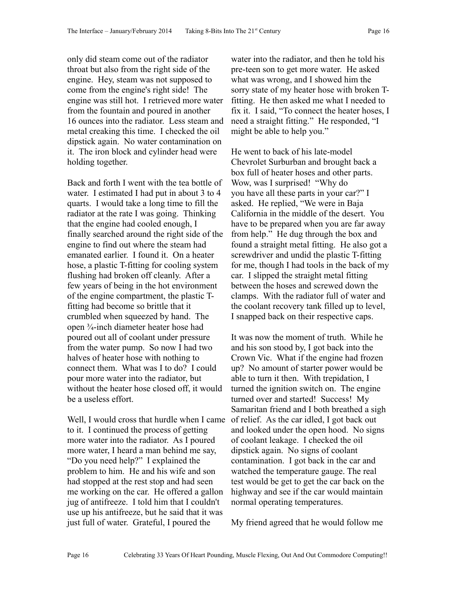only did steam come out of the radiator throat but also from the right side of the engine. Hey, steam was not supposed to come from the engine's right side! The engine was still hot. I retrieved more water from the fountain and poured in another 16 ounces into the radiator. Less steam and metal creaking this time. I checked the oil dipstick again. No water contamination on it. The iron block and cylinder head were holding together.

Back and forth I went with the tea bottle of water. I estimated I had put in about 3 to 4 quarts. I would take a long time to fill the radiator at the rate I was going. Thinking that the engine had cooled enough, I finally searched around the right side of the engine to find out where the steam had emanated earlier. I found it. On a heater hose, a plastic T-fitting for cooling system flushing had broken off cleanly. After a few years of being in the hot environment of the engine compartment, the plastic Tfitting had become so brittle that it crumbled when squeezed by hand. The open ¾-inch diameter heater hose had poured out all of coolant under pressure from the water pump. So now I had two halves of heater hose with nothing to connect them. What was I to do? I could pour more water into the radiator, but without the heater hose closed off, it would be a useless effort.

Well, I would cross that hurdle when I came to it. I continued the process of getting more water into the radiator. As I poured more water, I heard a man behind me say, "Do you need help?" I explained the problem to him. He and his wife and son had stopped at the rest stop and had seen me working on the car. He offered a gallon jug of antifreeze. I told him that I couldn't use up his antifreeze, but he said that it was just full of water. Grateful, I poured the

water into the radiator, and then he told his pre-teen son to get more water. He asked what was wrong, and I showed him the sorry state of my heater hose with broken Tfitting. He then asked me what I needed to fix it. I said, "To connect the heater hoses, I need a straight fitting." He responded, "I might be able to help you."

He went to back of his late-model Chevrolet Surburban and brought back a box full of heater hoses and other parts. Wow, was I surprised! "Why do you have all these parts in your car?" I asked. He replied, "We were in Baja California in the middle of the desert. You have to be prepared when you are far away from help." He dug through the box and found a straight metal fitting. He also got a screwdriver and undid the plastic T-fitting for me, though I had tools in the back of my car. I slipped the straight metal fitting between the hoses and screwed down the clamps. With the radiator full of water and the coolant recovery tank filled up to level, I snapped back on their respective caps.

It was now the moment of truth. While he and his son stood by, I got back into the Crown Vic. What if the engine had frozen up? No amount of starter power would be able to turn it then. With trepidation, I turned the ignition switch on. The engine turned over and started! Success! My Samaritan friend and I both breathed a sigh of relief. As the car idled, I got back out and looked under the open hood. No signs of coolant leakage. I checked the oil dipstick again. No signs of coolant contamination. I got back in the car and watched the temperature gauge. The real test would be get to get the car back on the highway and see if the car would maintain normal operating temperatures.

My friend agreed that he would follow me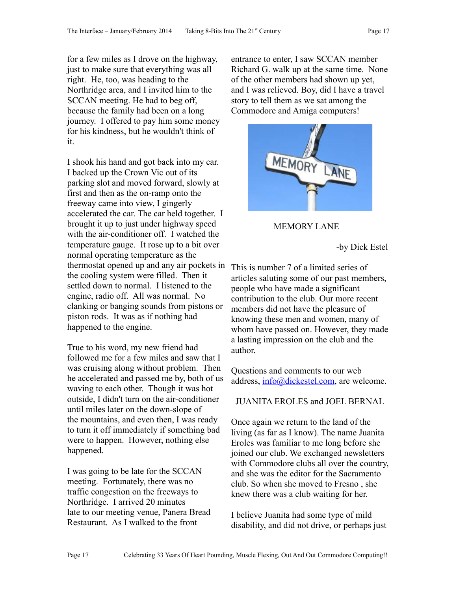for a few miles as I drove on the highway, just to make sure that everything was all right. He, too, was heading to the Northridge area, and I invited him to the SCCAN meeting. He had to beg off, because the family had been on a long journey. I offered to pay him some money for his kindness, but he wouldn't think of it.

I shook his hand and got back into my car. I backed up the Crown Vic out of its parking slot and moved forward, slowly at first and then as the on-ramp onto the freeway came into view, I gingerly accelerated the car. The car held together. I brought it up to just under highway speed with the air-conditioner off. I watched the temperature gauge. It rose up to a bit over normal operating temperature as the thermostat opened up and any air pockets in the cooling system were filled. Then it settled down to normal. I listened to the engine, radio off. All was normal. No clanking or banging sounds from pistons or piston rods. It was as if nothing had happened to the engine.

True to his word, my new friend had followed me for a few miles and saw that I was cruising along without problem. Then he accelerated and passed me by, both of us waving to each other. Though it was hot outside, I didn't turn on the air-conditioner until miles later on the down-slope of the mountains, and even then, I was ready to turn it off immediately if something bad were to happen. However, nothing else happened.

I was going to be late for the SCCAN meeting. Fortunately, there was no traffic congestion on the freeways to Northridge. I arrived 20 minutes late to our meeting venue, Panera Bread Restaurant. As I walked to the front

entrance to enter, I saw SCCAN member Richard G. walk up at the same time. None of the other members had shown up yet, and I was relieved. Boy, did I have a travel story to tell them as we sat among the Commodore and Amiga computers!



# MEMORY LANE

-by Dick Estel

This is number 7 of a limited series of articles saluting some of our past members, people who have made a significant contribution to the club. Our more recent members did not have the pleasure of knowing these men and women, many of whom have passed on. However, they made a lasting impression on the club and the author.

Questions and comments to our web address, [info@dickestel.com,](mailto:info@dickestel.com) are welcome.

# JUANITA EROLES and JOEL BERNAL

Once again we return to the land of the living (as far as I know). The name Juanita Eroles was familiar to me long before she joined our club. We exchanged newsletters with Commodore clubs all over the country, and she was the editor for the Sacramento club. So when she moved to Fresno , she knew there was a club waiting for her.

I believe Juanita had some type of mild disability, and did not drive, or perhaps just